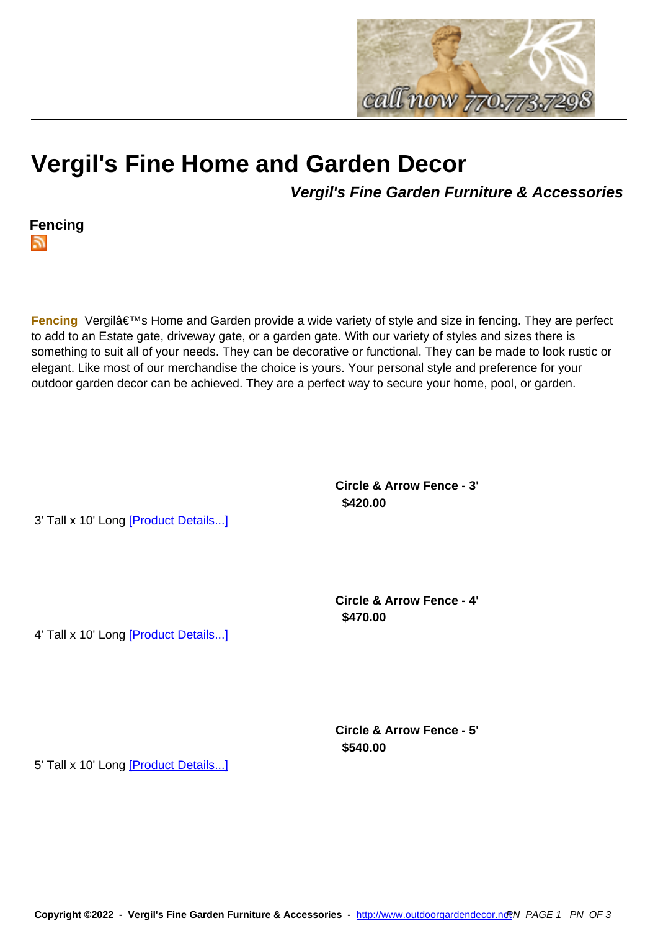

## **Vergil's Fine Home and Gar[den Decor](http://www.outdoorgardendecor.net)**

**Vergil's Fine Garden Furniture & Accessories**



**Fencing** Vergil's Home and Garden provide a wide variety of style and size in fencing. They are perfect to add to an Estate gate, driveway gate, or a garden gate. With our variety of styles and sizes there is something to suit all of your needs. They can be decorative or functional. They can be made to look rustic or elegant. Like most of our merchandise the choice is yours. Your personal style and preference for your outdoor garden decor can be achieved. They are a perfect way to secure your home, pool, or garden.

> **Circle & Arrow Fence - 3' \$420.00**

3' Tall x 10' Long [Product Details...]

**Circle & Arrow Fence - 4' \$470.00** 

4' Tall x 10' Long [Product Details...]

**Circle & Arrow Fence - 5' \$540.00** 

5' Tall x 10' Long [Product Details...]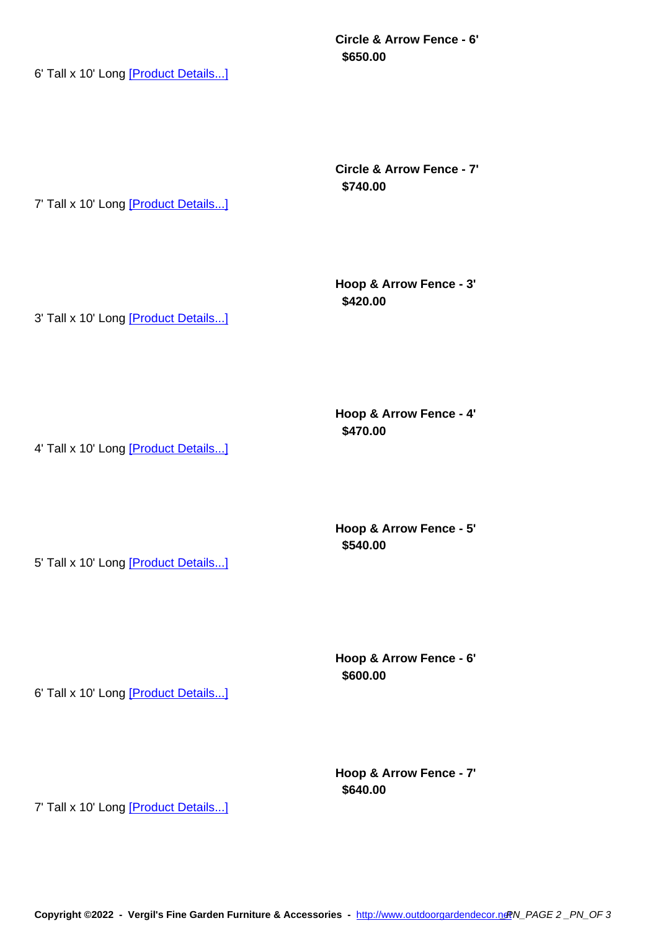**\$650.00** 

6' Tall x 10' Long [Product Details...]

**Circle & Arrow Fence - 7' \$740.00** 

7' Tall x 10' Long [Product Details...]

**Hoop & Arrow Fence - 3' \$420.00** 

3' Tall x 10' Long [Product Details...]

**Hoop & Arrow Fence - 4' \$470.00** 

4' Tall x 10' Long [Product Details...]

5' Tall x 10' Long [Product Details...]

**Hoop & Arrow Fence - 5' \$540.00** 

**Hoop & Arrow Fence - 6' \$600.00** 

6' Tall x 10' Long [Product Details...]

**Hoop & Arrow Fence - 7' \$640.00** 

7' Tall x 10' Long [Product Details...]